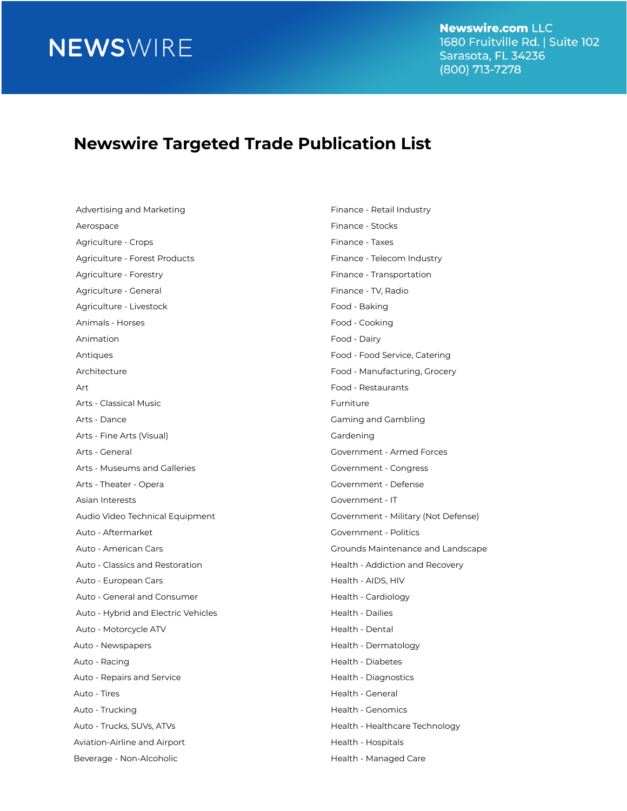**Newswire.com LLC** 1680 Fruitville Rd. | Suite 102 Sarasota, FL 34236 (800) 713-7278

#### **Newswire Targeted Trade Publication List**

Advertising and Marketing Finance - Retail Industry Aerospace **Finance - Stocks** Agriculture - Crops Finance - Taxes Agriculture - Forest Products Finance - Telecom Industry Agriculture - Forestry Finance - Transportation Agriculture - General Finance - TV, Radio Agriculture - Livestock **Food - Baking** Animals - Horses **Food - Cooking** Animation **Food** - Dairy Antiques Food - Food Service, Catering Architecture Food - Manufacturing, Grocery Art Food - Restaurants Arts - Classical Music **Furniture** Arts - Dance **Gaming and Gambling** Arts - Fine Arts (Visual) Gardening Arts - General Government - Armed Forces Arts - Museums and Galleries Government - Congress Arts - Theater - Opera Government - Defense Asian Interests Government - IT Audio Video Technical Equipment Government - Military (Not Defense) Auto - Aftermarket Government - Politics Auto - Classics and Restoration **Health - Addiction and Recovery** Auto - European Cars **Health - AIDS, HIV** Auto - General and Consumer Theorem Auto - Cardiology Auto - Hybrid and Electric Vehicles **Health - Dailies** Health - Dailies Auto - Motorcycle ATV **Auto - Motorcycle ATV** Auto - Dental Auto - Newspapers **Auto - Newspapers Health - Dermatology** Auto - Racing **Health - Diabetes** Auto - Repairs and Service **Health - Diagnostics** Health - Diagnostics Auto - Tires **Auto - Times** Auto - Times **Auto - Times** Auto - General Auto - Trucking **Auto - Trucking Auto - Trucking** Auto - Trucks, SUVs, ATVs **Health - Healthcare Technology** Aviation-Airline and Airport **Health - Hospitals** Beverage - Non-Alcoholic **Health - Managed Care** 

Auto - American Cars Grounds Maintenance and Landscape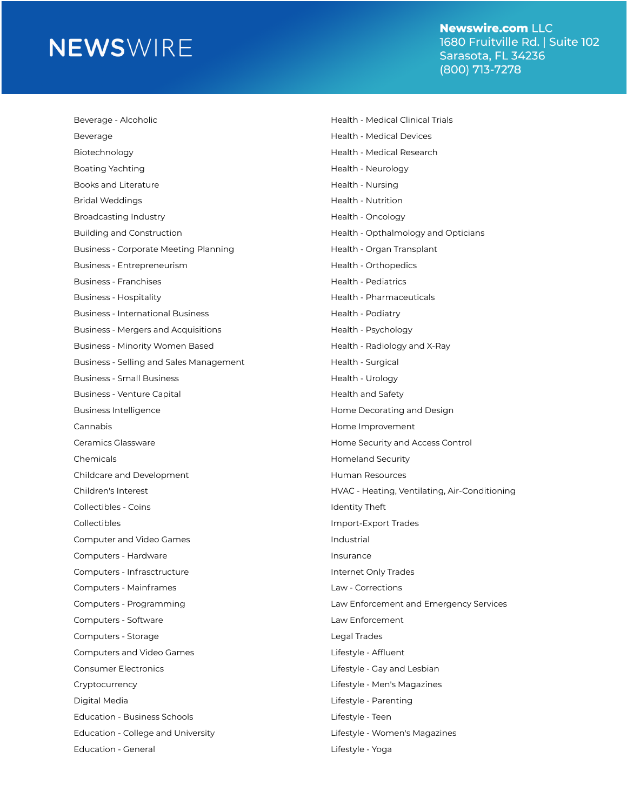**Newswire.com LLC** 1680 Fruitville Rd. | Suite 102 Sarasota, FL 34236 (800) 713-7278

| Beverage - Alcoholic                         | Health - Medical Clinical Trials              |
|----------------------------------------------|-----------------------------------------------|
| Beverage                                     | <b>Health - Medical Devices</b>               |
| Biotechnology                                | Health - Medical Research                     |
| Boating Yachting                             | Health - Neurology                            |
| Books and Literature                         | Health - Nursing                              |
| <b>Bridal Weddings</b>                       | Health - Nutrition                            |
| <b>Broadcasting Industry</b>                 | Health - Oncology                             |
| <b>Building and Construction</b>             | Health - Opthalmology and Opticians           |
| <b>Business - Corporate Meeting Planning</b> | Health - Organ Transplant                     |
| Business - Entrepreneurism                   | Health - Orthopedics                          |
| <b>Business - Franchises</b>                 | <b>Health - Pediatrics</b>                    |
| <b>Business - Hospitality</b>                | Health - Pharmaceuticals                      |
| <b>Business - International Business</b>     | Health - Podiatry                             |
| <b>Business - Mergers and Acquisitions</b>   | Health - Psychology                           |
| Business - Minority Women Based              | Health - Radiology and X-Ray                  |
| Business - Selling and Sales Management      | Health - Surgical                             |
| <b>Business - Small Business</b>             | Health - Urology                              |
| Business - Venture Capital                   | <b>Health and Safety</b>                      |
| <b>Business Intelligence</b>                 | Home Decorating and Design                    |
| Cannabis                                     | Home Improvement                              |
| Ceramics Glassware                           | Home Security and Access Control              |
| Chemicals                                    | <b>Homeland Security</b>                      |
| Childcare and Development                    | Human Resources                               |
| Children's Interest                          | HVAC - Heating, Ventilating, Air-Conditioning |
| Collectibles - Coins                         | <b>Identity Theft</b>                         |
| Collectibles                                 | Import-Export Trades                          |
| Computer and Video Games                     | Industrial                                    |
| Computers - Hardware                         | Insurance                                     |
| Computers - Infrasctructure                  | Internet Only Trades                          |
| Computers - Mainframes                       | Law - Corrections                             |
| Computers - Programming                      | Law Enforcement and Emergency Services        |
| Computers - Software                         | Law Enforcement                               |
| Computers - Storage                          | <b>Legal Trades</b>                           |
| Computers and Video Games                    | Lifestyle - Affluent                          |
| <b>Consumer Electronics</b>                  | Lifestyle - Gay and Lesbian                   |
| Cryptocurrency                               | Lifestyle - Men's Magazines                   |
| Digital Media                                | Lifestyle - Parenting                         |
| <b>Education - Business Schools</b>          | Lifestyle - Teen                              |
| Education - College and University           | Lifestyle - Women's Magazines                 |
| <b>Education - General</b>                   | Lifestyle - Yoga                              |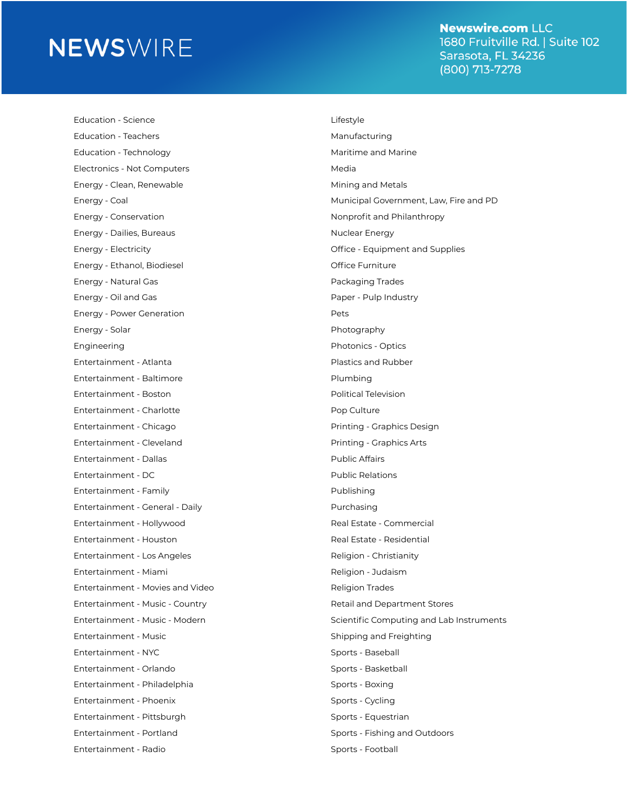**Newswire.com LLC** 1680 Fruitville Rd. | Suite 102 Sarasota, FL 34236 (800) 713-7278

Education - Science Lifestyle Education - Teachers **Manufacturing** Education - Technology **Maritime and Marine** Maritime and Marine Electronics - Not Computers Media Energy - Clean, Renewable Mining and Metals Energy - Conservation **Nonprofit and Philanthropy** Energy - Dailies, Bureaus Nuclear Energy Energy - Ethanol, Biodiesel Channel Controller Controller Controller Controller Controller Controller Controller Energy - Natural Gas Packaging Trades Energy - Oil and Gas Paper - Pulp Industry Energy - Power Generation **Pets** Energy - Solar Photography Engineering **Photonics - Optics** Entertainment - Atlanta Plastics and Rubber Entertainment - Baltimore entertainment - Baltimore Entertainment - Boston Political Television Entertainment - Charlotte **Pop Culture** Pop Culture Entertainment - Chicago Printing - Graphics Design Entertainment - Cleveland **Printing - Graphics Arts** Entertainment - Dallas Public Affairs Entertainment - DC entertainment - DC Entertainment - Family **Publishing** Entertainment - General - Daily Purchasing Entertainment - Hollywood Real Estate - Commercial Entertainment - Houston Real Estate - Residential Entertainment - Los Angeles Religion - Christianity Entertainment - Miami Religion - Judaism Entertainment - Movies and Video **Religion Trades** Entertainment - Music - Country **Retainment Stores** Retail and Department Stores Entertainment - Music Shipping and Freighting Entertainment - NYC Sports - Baseball Entertainment - Orlando Sports - Basketball Entertainment - Philadelphia Sports - Boxing Entertainment - Phoenix Sports - Cycling Entertainment - Pittsburgh Sports - Equestrian Entertainment - Portland Sports - Fishing and Outdoors Entertainment - Radio Sports - Football

Energy - Coal Municipal Government, Law, Fire and PD Energy - Electricity Office - Equipment and Supplies Entertainment - Music - Modern Scientific Computing and Lab Instruments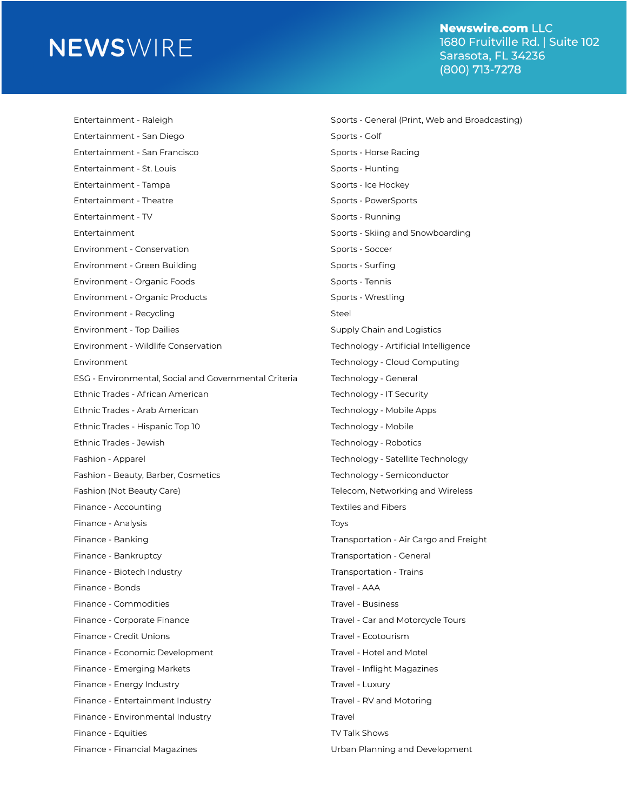**Newswire.com LLC** 1680 Fruitville Rd. | Suite 102 Sarasota, FL 34236 (800) 713-7278

Entertainment - Raleigh Sports - General (Print, Web and Broadcasting) Entertainment - San Diego Sports - Golf Entertainment - San Francisco **Sports - Horse Racing** Entertainment - St. Louis Sports - Hunting Entertainment - Tampa Sports - Ice Hockey Entertainment - Theatre Sports - PowerSports - PowerSports - PowerSports - PowerSports - PowerSports - PowerSports - PowerSports - PowerSports - PowerSports - PowerSports - PowerSports - PowerSports - PowerSports - PowerSp Entertainment - TV Sports - Running Entertainment Sports - Skiing and Snowboarding Environment - Conservation Sports - Soccer Environment - Green Building Sports - Surfing Environment - Organic Foods Sports - Tennis Environment - Organic Products Sports - Wrestling Environment - Recycling Steel Environment - Top Dailies Supply Chain and Logistics Environment - Wildlife Conservation Technology - Artificial Intelligence Environment Technology - Cloud Computing ESG - Environmental, Social and Governmental Criteria Technology - General Ethnic Trades - African American **Technology - IT Security** Ethnic Trades - Arab American Technology - Mobile Apps Ethnic Trades - Hispanic Top 10 Technology - Mobile Ethnic Trades - Jewish Technology - Robotics Fashion - Apparel Technology - Satellite Technology Fashion - Beauty, Barber, Cosmetics Technology - Semiconductor Fashion (Not Beauty Care) Telecom, Networking and Wireless Finance - Accounting Textiles and Fibers Finance - Analysis Toys Finance - Banking Transportation - Air Cargo and Freight Finance - Bankruptcy Transportation - General Finance - Biotech Industry Transportation - Trains Finance - Bonds Travel - AAA Finance - Commodities Travel - Business Finance - Corporate Finance Travel - Car and Motorcycle Tours Finance - Credit Unions Travel - Ecotourism Finance - Economic Development Travel - Hotel and Motel Finance - Emerging Markets Travel - Inflight Magazines Finance - Energy Industry Travel - Luxury Travel - Luxury Finance - Entertainment Industry Travel - RV and Motoring Finance - Environmental Industry Travel Finance - Equities TV Talk Shows Finance - Financial Magazines **Network: A Contract Contract Contract Urban Planning and Development**